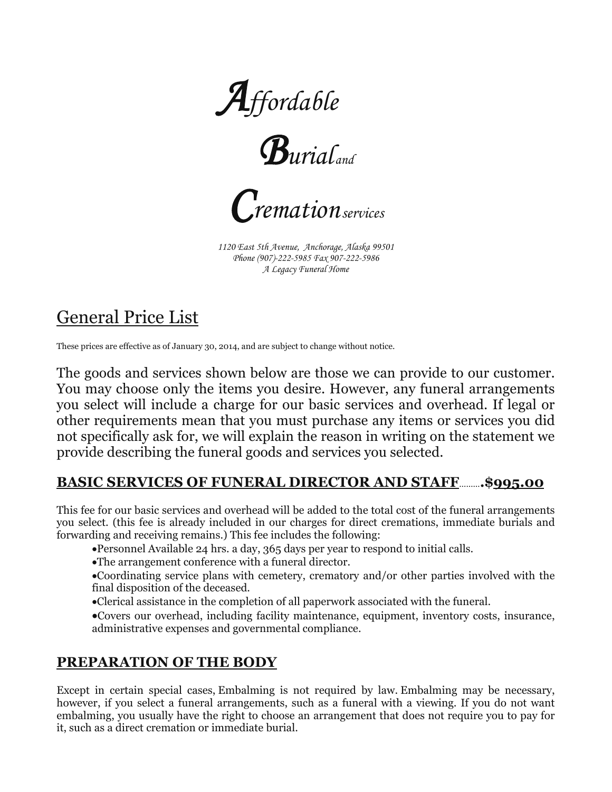





*1120 East 5th Avenue, Anchorage, Alaska 99501 Phone (907)-222-5985 Fax 907-222-5986 A Legacy Funeral Home*

# General Price List

These prices are effective as of January 30, 2014, and are subject to change without notice.

The goods and services shown below are those we can provide to our customer. You may choose only the items you desire. However, any funeral arrangements you select will include a charge for our basic services and overhead. If legal or other requirements mean that you must purchase any items or services you did not specifically ask for, we will explain the reason in writing on the statement we provide describing the funeral goods and services you selected.

### **BASIC SERVICES OF FUNERAL DIRECTOR AND STAFF**………**.\$995.00**

This fee for our basic services and overhead will be added to the total cost of the funeral arrangements you select. (this fee is already included in our charges for direct cremations, immediate burials and forwarding and receiving remains.) This fee includes the following:

- •Personnel Available 24 hrs. a day, 365 days per year to respond to initial calls.
- •The arrangement conference with a funeral director.

•Coordinating service plans with cemetery, crematory and/or other parties involved with the final disposition of the deceased.

- •Clerical assistance in the completion of all paperwork associated with the funeral.
- •Covers our overhead, including facility maintenance, equipment, inventory costs, insurance, administrative expenses and governmental compliance.

### **PREPARATION OF THE BODY**

Except in certain special cases, Embalming is not required by law. Embalming may be necessary, however, if you select a funeral arrangements, such as a funeral with a viewing. If you do not want embalming, you usually have the right to choose an arrangement that does not require you to pay for it, such as a direct cremation or immediate burial.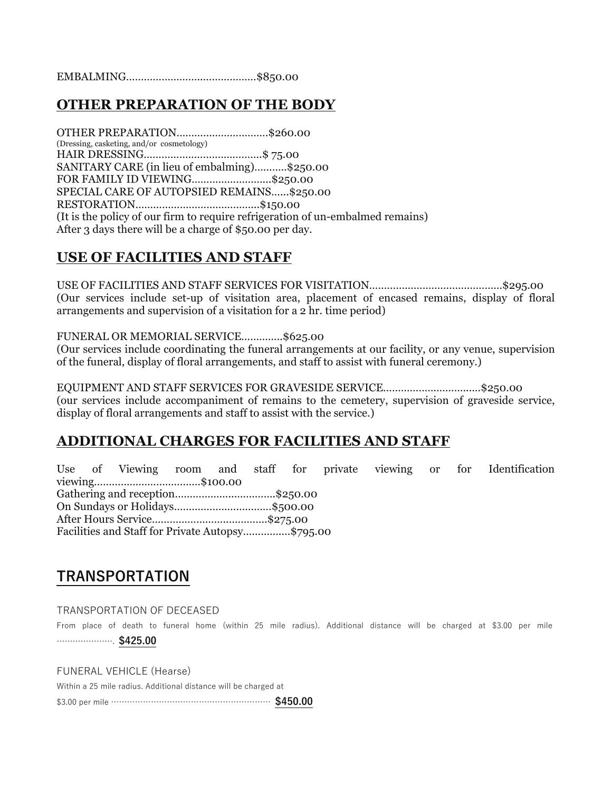EMBALMING……………………..………………\$850.00

### **OTHER PREPARATION OF THE BODY**

OTHER PREPARATION………………………….\$260.00 (Dressing, casketing, and/or cosmetology) HAIR DRESSING………………………………….\$ 75.00 SANITARY CARE (in lieu of embalming)………..\$250.00 FOR FAMILY ID VIEWING……………………...\$250.00 SPECIAL CARE OF AUTOPSIED REMAINS…...\$250.00 RESTORATION…………………………………...\$150.00 (It is the policy of our firm to require refrigeration of un-embalmed remains) After 3 days there will be a charge of \$50.00 per day.

#### **USE OF FACILITIES AND STAFF**

USE OF FACILITIES AND STAFF SERVICES FOR VISITATION………………………………………\$295.00 (Our services include set-up of visitation area, placement of encased remains, display of floral arrangements and supervision of a visitation for a 2 hr. time period)

FUNERAL OR MEMORIAL SERVICE…………..\$625.00

(Our services include coordinating the funeral arrangements at our facility, or any venue, supervision of the funeral, display of floral arrangements, and staff to assist with funeral ceremony.)

EQUIPMENT AND STAFF SERVICES FOR GRAVESIDE SERVICE………………………...…\$250.00 (our services include accompaniment of remains to the cemetery, supervision of graveside service, display of floral arrangements and staff to assist with the service.)

### **ADDITIONAL CHARGES FOR FACILITIES AND STAFF**

Use of Viewing room and staff for private viewing or for Identification viewing………………………………\$100.00 Gathering and reception………………...………….\$250.00 On Sundays or Holidays……………………………\$500.00 After Hours Service……………………..………….\$275.00 Facilities and Staff for Private Autopsy………….…\$795.00

### **TRANSPORTATION**

#### TRANSPORTATION OF DECEASED

From place of death to funeral home (within 25 mile radius). Additional distance will be charged at \$3.00 per mile …………………. **\$425.00**

FUNERAL VEHICLE (Hearse)

Within a 25 mile radius. Additional distance will be charged at

\$3.00 per mile …………………………………………………… **\$450.00**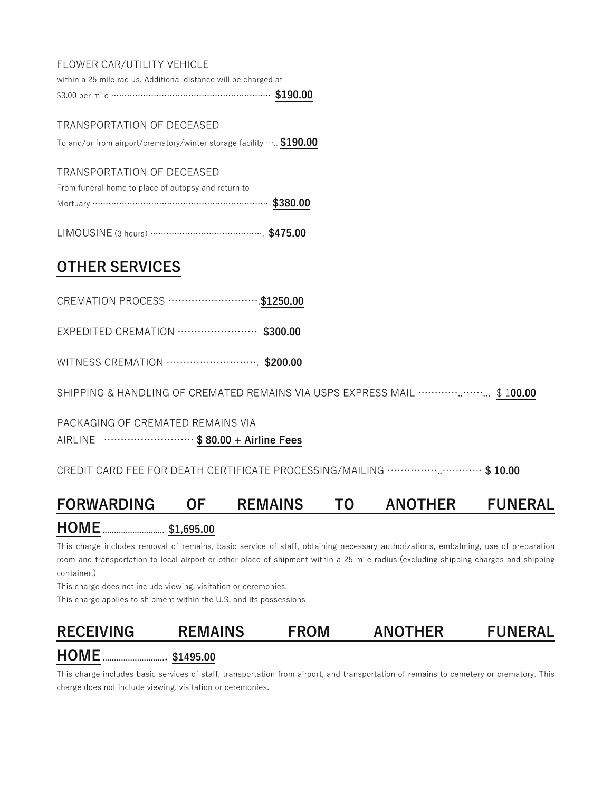#### FLOWER CAR/UTILITY VEHICLE

within a 25 mile radius. Additional distance will be charged at \$3.00 per mile …………………………………………………… **\$190.00**

#### TRANSPORTATION OF DECEASED

To and/or from airport/crematory/winter storage facility ….. **\$190.00**

#### TRANSPORTATION OF DECEASED

| From funeral home to place of autopsy and return to |  |
|-----------------------------------------------------|--|
| Mortuary ………………………………………………………… \$380.00            |  |

|--|--|

### **OTHER SERVICES**

|  | CREMATION PROCESS  \$1250.00 |  |
|--|------------------------------|--|
|  |                              |  |

EXPEDITED CREMATION …………………… **\$300.00**

WITNESS CREMATION ………………………. **\$200.00**

SHIPPING & HANDLING OF CREMATED REMAINS VIA USPS EXPRESS MAIL …………..……... \$ 1**00.00**

PACKAGING OF CREMATED REMAINS VIA

AIRLINE ……………………… **\$ 80.00 + Airline Fees**

CREDIT CARD FEE FOR DEATH CERTIFICATE PROCESSING/MAILING ……………..………… **\$ 10.00**

### **FORWARDING OF REMAINS TO ANOTHER FUNERAL**

### **HOME** ……………………… **\$1,695.00**

This charge includes removal of remains, basic service of staff, obtaining necessary authorizations, embalming, use of preparation room and transportation to local airport or other place of shipment within a 25 mile radius **(**excluding shipping charges and shipping container.)

This charge does not include viewing, visitation or ceremonies.

This charge applies to shipment within the U.S. and its possessions

# **RECEIVING REMAINS FROM ANOTHER FUNERAL**

### **HOME** ………………………. **\$1495.00**

This charge includes basic services of staff, transportation from airport, and transportation of remains to cemetery or crematory. This charge does not include viewing, visitation or ceremonies.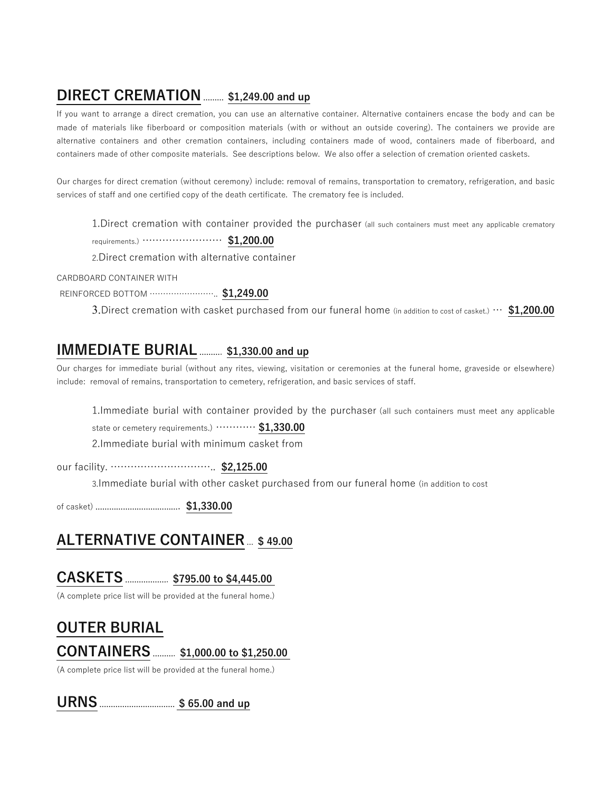# **DIRECT CREMATION** ……… **\$1,249.00 and up**

If you want to arrange a direct cremation, you can use an alternative container. Alternative containers encase the body and can be made of materials like fiberboard or composition materials (with or without an outside covering). The containers we provide are alternative containers and other cremation containers, including containers made of wood, containers made of fiberboard, and containers made of other composite materials. See descriptions below. We also offer a selection of cremation oriented caskets.

Our charges for direct cremation (without ceremony) include: removal of remains, transportation to crematory, refrigeration, and basic services of staff and one certified copy of the death certificate. The crematory fee is included.

1.Direct cremation with container provided the purchaser (all such containers must meet any applicable crematory

requirements.) …………………… **\$1,200.00**

2.Direct cremation with alternative container

CARDBOARD CONTAINER WITH

REINFORCED BOTTOM …………………….. **\$1,249.00**

3.Direct cremation with casket purchased from our funeral home (in addition to cost of casket.) … **\$1,200.00**

# **IMMEDIATE BURIAL** ………. **\$1,330.00 and up**

Our charges for immediate burial (without any rites, viewing, visitation or ceremonies at the funeral home, graveside or elsewhere) include: removal of remains, transportation to cemetery, refrigeration, and basic services of staff.

1.Immediate burial with container provided by the purchaser (all such containers must meet any applicable

state or cemetery requirements.) ………… **\$1,330.00**

2.Immediate burial with minimum casket from

our facility. ………………………….. **\$2,125.00**

3.Immediate burial with other casket purchased from our funeral home (in addition to cost

of casket) ………………………………. **\$1,330.00**

### **ALTERNATIVE CONTAINER**... **\$ 49.00**

# **CASKETS** ………………. **\$795.00 to \$4,445.00**

(A complete price list will be provided at the funeral home.)

## **OUTER BURIAL**

### **CONTAINERS** ………. **\$1,000.00 to \$1,250.00**

(A complete price list will be provided at the funeral home.)

**URNS** …………………………… **\$ 65.00 and up**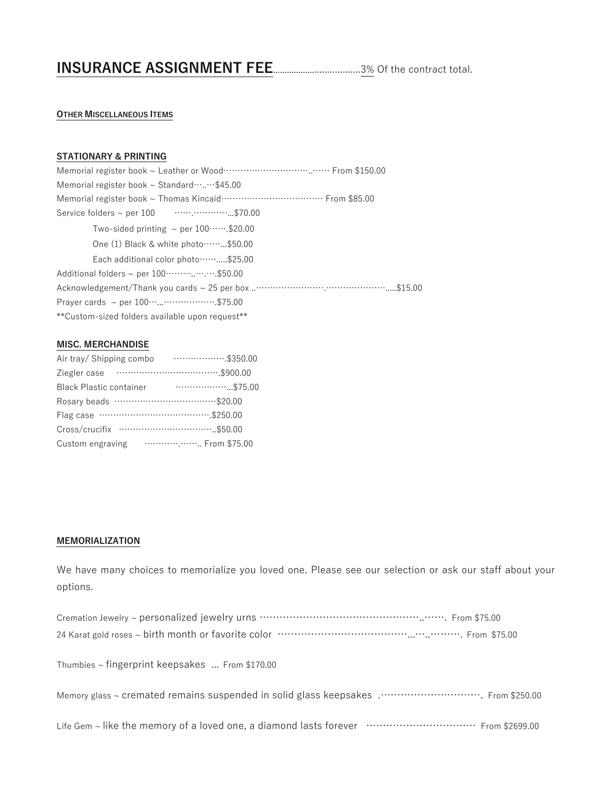# **INSURANCE ASSIGNMENT FEE**………………..................3% Of the contract total.

#### **OTHER MISCELLANEOUS ITEMS**

#### **STATIONARY & PRINTING**

#### **MISC. MERCHANDISE**

| Air tray/ Shipping combo            | $\cdots$ \$350.00 |
|-------------------------------------|-------------------|
| Ziegler case                        |                   |
| <b>Black Plastic container</b>      | $\cdots$ \$75.00  |
|                                     |                   |
|                                     |                   |
| Cross/crucifix …………………………………\$50.00 |                   |
| Custom engraving                    | From \$75.00      |

#### **MEMORIALIZATION**

We have many choices to memorialize you loved one. Please see our selection or ask our staff about your options.

Thumbies ~ fingerprint keepsakes ... From \$170.00

Memory glass ~ cremated remains suspended in solid glass keepsakes .…………………………. From \$250.00

Life Gem ~ like the memory of a loved one, a diamond lasts forever ……………………………… From \$2699.00